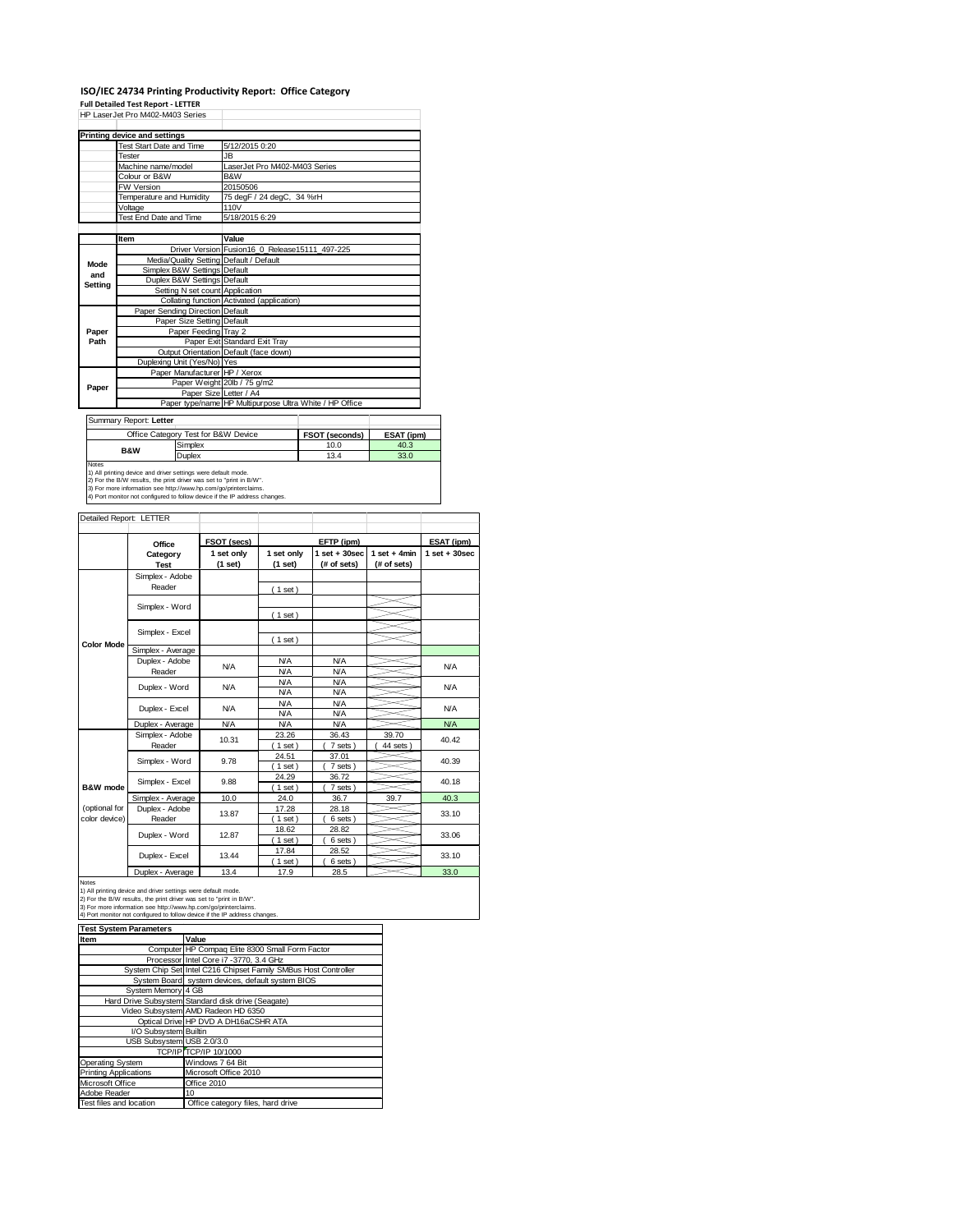### **ISO/IEC 24734 Printing Productivity Report: Office Category Full Detailed Test Report ‐ LETTER**

|         | . an betaned Test Report - LETTER<br>HP Laser Jet Pro M402-M403 Series                                                                 |         |                                                                                   |                                                |  |                   |            |  |
|---------|----------------------------------------------------------------------------------------------------------------------------------------|---------|-----------------------------------------------------------------------------------|------------------------------------------------|--|-------------------|------------|--|
|         |                                                                                                                                        |         |                                                                                   |                                                |  |                   |            |  |
|         | <b>Printing device and settings</b>                                                                                                    |         |                                                                                   |                                                |  |                   |            |  |
|         | <b>Test Start Date and Time</b>                                                                                                        |         | 5/12/2015 0:20                                                                    |                                                |  |                   |            |  |
|         | Tester                                                                                                                                 |         | JB.                                                                               |                                                |  |                   |            |  |
|         | Machine name/model                                                                                                                     |         |                                                                                   | LaserJet Pro M402-M403 Series                  |  |                   |            |  |
|         | Colour or B&W                                                                                                                          |         | B&W                                                                               |                                                |  |                   |            |  |
|         | FW Version                                                                                                                             |         | 20150506                                                                          |                                                |  |                   |            |  |
|         | Temperature and Humidity                                                                                                               |         |                                                                                   | 75 degF / 24 degC, 34 %rH                      |  |                   |            |  |
|         | Voltage                                                                                                                                |         | 110V                                                                              |                                                |  |                   |            |  |
|         | Test End Date and Time                                                                                                                 |         | 5/18/2015 6:29                                                                    |                                                |  |                   |            |  |
|         |                                                                                                                                        |         |                                                                                   |                                                |  |                   |            |  |
|         | Item                                                                                                                                   |         | Value                                                                             |                                                |  |                   |            |  |
|         |                                                                                                                                        |         |                                                                                   | Driver Version Fusion16 0 Release15111 497-225 |  |                   |            |  |
| Mode    |                                                                                                                                        |         | Media/Quality Setting Default / Default                                           |                                                |  |                   |            |  |
| and     | Simplex B&W Settings Default                                                                                                           |         |                                                                                   |                                                |  |                   |            |  |
| Setting | Duplex B&W Settings Default                                                                                                            |         |                                                                                   |                                                |  |                   |            |  |
|         |                                                                                                                                        |         | Setting N set count Application                                                   |                                                |  |                   |            |  |
|         |                                                                                                                                        |         |                                                                                   | Collating function Activated (application)     |  |                   |            |  |
|         | Paper Sending Direction Default                                                                                                        |         |                                                                                   |                                                |  |                   |            |  |
|         | Paper Size Setting Default                                                                                                             |         |                                                                                   |                                                |  |                   |            |  |
| Paper   |                                                                                                                                        |         | Paper Feeding Tray 2                                                              |                                                |  |                   |            |  |
| Path    |                                                                                                                                        |         | Paper Exit Standard Exit Tray                                                     |                                                |  |                   |            |  |
|         |                                                                                                                                        |         | Output Orientation Default (face down)                                            |                                                |  |                   |            |  |
|         | Duplexing Unit (Yes/No) Yes                                                                                                            |         |                                                                                   |                                                |  |                   |            |  |
|         |                                                                                                                                        |         | Paper Manufacturer HP / Xerox                                                     |                                                |  |                   |            |  |
| Paper   |                                                                                                                                        |         | Paper Weight 20lb / 75 g/m2                                                       |                                                |  |                   |            |  |
|         |                                                                                                                                        |         | Paper Size Letter / A4<br>Paper type/name HP Multipurpose Ultra White / HP Office |                                                |  |                   |            |  |
|         |                                                                                                                                        |         |                                                                                   |                                                |  |                   |            |  |
|         | Summary Report: Letter                                                                                                                 |         |                                                                                   |                                                |  |                   |            |  |
|         | Office Category Test for B&W Device                                                                                                    |         |                                                                                   |                                                |  | FSOT (seconds)    | ESAT (ipm) |  |
|         |                                                                                                                                        | Simplex |                                                                                   |                                                |  | 10.0              | 40.3       |  |
|         | <b>B&amp;W</b>                                                                                                                         | Duplex  |                                                                                   |                                                |  | 13.4              | 33.0       |  |
| Notes   |                                                                                                                                        |         |                                                                                   |                                                |  |                   |            |  |
|         | 1) All printing device and driver settings were default mode.                                                                          |         |                                                                                   |                                                |  |                   |            |  |
|         | 2) For the B/W results, the print driver was set to "print in B/W".<br>3) For more information see http://www.hp.com/go/printerclaims. |         |                                                                                   |                                                |  |                   |            |  |
|         | 4) Port monitor not configured to follow device if the IP address changes.                                                             |         |                                                                                   |                                                |  |                   |            |  |
|         |                                                                                                                                        |         |                                                                                   |                                                |  |                   |            |  |
|         | Detailed Report: LETTER                                                                                                                |         |                                                                                   |                                                |  |                   |            |  |
|         |                                                                                                                                        |         | <b>FSOT</b> (secs)                                                                |                                                |  | <b>FFTP</b> (inm) |            |  |

|                     | Office                                                                                                                                                                                                                                                                                | FSOT (secs) |            | EFTP (ipm)        |                | ESAT (ipm)        |  |
|---------------------|---------------------------------------------------------------------------------------------------------------------------------------------------------------------------------------------------------------------------------------------------------------------------------------|-------------|------------|-------------------|----------------|-------------------|--|
|                     | Category                                                                                                                                                                                                                                                                              | 1 set only  | 1 set only | $1$ set $+30$ sec | $1$ set + 4min | $1$ set $+30$ sec |  |
|                     | <b>Test</b>                                                                                                                                                                                                                                                                           | $(1$ set)   | $(1$ set)  | (# of sets)       | (# of sets)    |                   |  |
|                     | Simplex - Adobe                                                                                                                                                                                                                                                                       |             |            |                   |                |                   |  |
|                     | Reader                                                                                                                                                                                                                                                                                |             | (1 set)    |                   |                |                   |  |
|                     |                                                                                                                                                                                                                                                                                       |             |            |                   |                |                   |  |
|                     | Simplex - Word                                                                                                                                                                                                                                                                        |             | (1 set)    |                   |                |                   |  |
|                     |                                                                                                                                                                                                                                                                                       |             |            |                   |                |                   |  |
|                     | Simplex - Excel                                                                                                                                                                                                                                                                       |             | (1 set)    |                   |                |                   |  |
| <b>Color Mode</b>   | Simplex - Average                                                                                                                                                                                                                                                                     |             |            |                   |                |                   |  |
|                     | Duplex - Adobe                                                                                                                                                                                                                                                                        |             | N/A        | <b>N/A</b>        |                |                   |  |
|                     | Reader                                                                                                                                                                                                                                                                                | N/A         | <b>N/A</b> | <b>N/A</b>        |                | N/A               |  |
|                     | Duplex - Word                                                                                                                                                                                                                                                                         | N/A         | <b>N/A</b> | <b>N/A</b>        |                |                   |  |
|                     |                                                                                                                                                                                                                                                                                       |             | <b>N/A</b> | <b>N/A</b>        |                | <b>N/A</b>        |  |
|                     | Duplex - Excel                                                                                                                                                                                                                                                                        | N/A         | <b>N/A</b> | <b>N/A</b>        |                | <b>N/A</b>        |  |
|                     |                                                                                                                                                                                                                                                                                       |             | <b>N/A</b> | <b>N/A</b>        |                |                   |  |
|                     | Duplex - Average                                                                                                                                                                                                                                                                      | <b>N/A</b>  | <b>N/A</b> | <b>N/A</b>        |                | N/A               |  |
|                     | Simplex - Adobe                                                                                                                                                                                                                                                                       | 10.31       | 23.26      | 36.43             | 39.70          | 40.42             |  |
|                     | Reader                                                                                                                                                                                                                                                                                |             | $1$ set)   | 7 sets)           | 44 sets        |                   |  |
|                     | Simplex - Word                                                                                                                                                                                                                                                                        | 9.78        | 24.51      | 37.01             |                | 40.39             |  |
|                     |                                                                                                                                                                                                                                                                                       |             | $1$ set)   | 7 sets)           |                |                   |  |
|                     | Simplex - Excel                                                                                                                                                                                                                                                                       | 9.88        | 24.29      | 36.72             |                | 40.18             |  |
| <b>B&amp;W</b> mode |                                                                                                                                                                                                                                                                                       |             | $1$ set)   | 7 sets)           |                |                   |  |
|                     | Simplex - Average                                                                                                                                                                                                                                                                     | 10.0        | 24.0       | 36.7              | 39.7           | 40.3              |  |
| (optional for       | Duplex - Adobe                                                                                                                                                                                                                                                                        | 13.87       | 17.28      | 28.18             |                | 33.10             |  |
| color device)       | Reader                                                                                                                                                                                                                                                                                |             | $1$ set)   | 6 sets)           |                |                   |  |
|                     | Duplex - Word                                                                                                                                                                                                                                                                         | 12.87       | 18.62      | 28.82             |                | 33.06             |  |
|                     |                                                                                                                                                                                                                                                                                       |             | $1$ set)   | 6 sets)           |                |                   |  |
|                     | Duplex - Excel                                                                                                                                                                                                                                                                        | 13.44       | 17.84      | 28.52             |                | 33.10             |  |
|                     |                                                                                                                                                                                                                                                                                       |             | $1$ set)   | 6 sets)           |                |                   |  |
|                     | Duplex - Average                                                                                                                                                                                                                                                                      | 13.4        | 17.9       | 28.5              |                | 33.0              |  |
| Notes               | 1) All printing device and driver settings were default mode.<br>2) For the B/W results, the print driver was set to "print in B/W".<br>3) For more information see http://www.hp.com/go/printerclaims.<br>4) Port monitor not configured to follow device if the IP address changes. |             |            |                   |                |                   |  |

| <b>Test System Parameters</b> |                                                                 |  |  |  |  |
|-------------------------------|-----------------------------------------------------------------|--|--|--|--|
| Item                          | Value                                                           |  |  |  |  |
|                               | Computer HP Compaq Elite 8300 Small Form Factor                 |  |  |  |  |
|                               | Processor Intel Core i7 -3770, 3.4 GHz                          |  |  |  |  |
|                               | System Chip Set Intel C216 Chipset Family SMBus Host Controller |  |  |  |  |
|                               | System Board system devices, default system BIOS                |  |  |  |  |
| System Memory 4 GB            |                                                                 |  |  |  |  |
|                               | Hard Drive Subsystem Standard disk drive (Seagate)              |  |  |  |  |
|                               | Video Subsystem AMD Radeon HD 6350                              |  |  |  |  |
|                               | Optical Drive HP DVD A DH16aCSHR ATA                            |  |  |  |  |
| I/O Subsystem Builtin         |                                                                 |  |  |  |  |
| USB Subsystem USB 2.0/3.0     |                                                                 |  |  |  |  |
|                               | TCP/IP TCP/IP 10/1000                                           |  |  |  |  |
| Operating System              | Windows 7 64 Bit                                                |  |  |  |  |
| <b>Printing Applications</b>  | Microsoft Office 2010                                           |  |  |  |  |
| Microsoft Office              | Office 2010                                                     |  |  |  |  |
| Adobe Reader                  | 10                                                              |  |  |  |  |
| Test files and location       | Office category files, hard drive                               |  |  |  |  |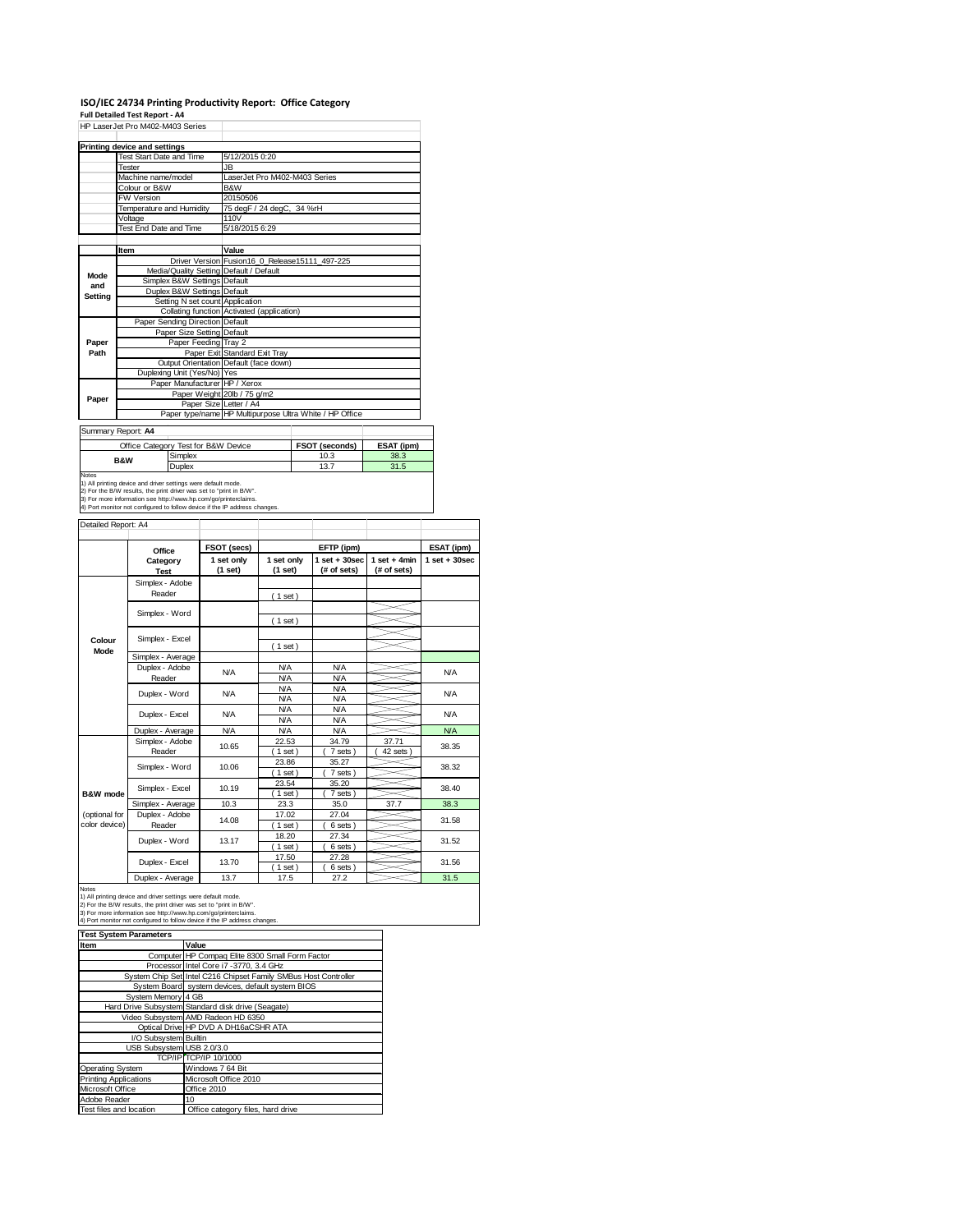# **ISO/IEC 24734 Printing Productivity Report: Office Category Full Detailed Test Report ‐ A4** HP LaserJet Pro M402-M403 Series

|         | Printing device and settings            |                                                         |  |  |  |
|---------|-----------------------------------------|---------------------------------------------------------|--|--|--|
|         | Test Start Date and Time                | 5/12/2015 0:20                                          |  |  |  |
|         | Tester                                  | JB.                                                     |  |  |  |
|         | Machine name/model                      | LaserJet Pro M402-M403 Series                           |  |  |  |
|         | Colour or B&W                           | B&W                                                     |  |  |  |
|         | <b>FW Version</b>                       | 20150506                                                |  |  |  |
|         | Temperature and Humidity                | 75 degF / 24 degC, 34 %rH                               |  |  |  |
|         | Voltage                                 | 110V                                                    |  |  |  |
|         | Test End Date and Time                  | 5/18/2015 6:29                                          |  |  |  |
|         |                                         |                                                         |  |  |  |
|         | Item                                    | Value                                                   |  |  |  |
|         |                                         | Driver Version Fusion16 0 Release15111 497-225          |  |  |  |
| Mode    | Media/Quality Setting Default / Default |                                                         |  |  |  |
| and     | Simplex B&W Settings Default            |                                                         |  |  |  |
| Setting | Duplex B&W Settings Default             |                                                         |  |  |  |
|         | Setting N set count Application         |                                                         |  |  |  |
|         |                                         | Collating function Activated (application)              |  |  |  |
|         | Paper Sending Direction Default         |                                                         |  |  |  |
|         | Paper Size Setting Default              |                                                         |  |  |  |
| Paper   | Paper Feeding Tray 2                    |                                                         |  |  |  |
| Path    |                                         | Paper Exit Standard Exit Tray                           |  |  |  |
|         |                                         | Output Orientation Default (face down)                  |  |  |  |
|         | Duplexing Unit (Yes/No) Yes             |                                                         |  |  |  |
|         | Paper Manufacturer HP / Xerox           |                                                         |  |  |  |
| Paper   |                                         | Paper Weight 20lb / 75 g/m2                             |  |  |  |
|         | Paper Size Letter / A4                  |                                                         |  |  |  |
|         |                                         | Paper type/name HP Multipurpose Ultra White / HP Office |  |  |  |
|         | Summary Report: A4                      |                                                         |  |  |  |
|         |                                         |                                                         |  |  |  |

ŧ

┓

Summary Report: **A4**

| Office Category Test for B&W Device                                           |                                                                                                                                                                                                                      | FSOT (seconds) | ESAT (ipm) |
|-------------------------------------------------------------------------------|----------------------------------------------------------------------------------------------------------------------------------------------------------------------------------------------------------------------|----------------|------------|
| <b>B&amp;W</b>                                                                | Simplex                                                                                                                                                                                                              | 10.3           | 38.3       |
|                                                                               | <b>Duplex</b>                                                                                                                                                                                                        | 13.7           | 31.5       |
| <b>Notes</b><br>1) All printing device and driver settings were default mode. | 2) For the B/W results, the print driver was set to "print in B/W".<br>3) For more information see http://www.hp.com/go/printerclaims.<br>4) Port monitor not configured to follow device if the IP address changes. |                |            |

#### Detailed Report: A4

|               | Office            | FSOT (secs) |                   | EFTP (ipm)       |                | ESAT (ipm)        |
|---------------|-------------------|-------------|-------------------|------------------|----------------|-------------------|
|               | Category          | 1 set only  | 1 set only        | $1 set + 30 sec$ | $1$ set + 4min | $1$ set $+30$ sec |
|               | <b>Test</b>       | (1 set)     | (1 set)           | (# of sets)      | (# of sets)    |                   |
|               | Simplex - Adobe   |             |                   |                  |                |                   |
|               | Reader            |             | (1 set)           |                  |                |                   |
|               |                   |             |                   |                  |                |                   |
|               | Simplex - Word    |             | $1$ set)          |                  |                |                   |
|               |                   |             |                   |                  |                |                   |
| Colour        | Simplex - Excel   |             | (1 set)           |                  |                |                   |
| Mode          | Simplex - Average |             |                   |                  |                |                   |
|               | Duplex - Adobe    | <b>N/A</b>  | <b>N/A</b>        | <b>N/A</b>       |                | <b>N/A</b>        |
|               | Reader            |             | <b>N/A</b>        | <b>N/A</b>       |                |                   |
|               | Duplex - Word     | <b>N/A</b>  | <b>N/A</b>        | <b>N/A</b>       |                | <b>N/A</b>        |
|               |                   |             | <b>N/A</b>        | <b>N/A</b>       |                |                   |
|               | Duplex - Excel    | N/A         | <b>N/A</b>        | <b>N/A</b>       |                | <b>N/A</b>        |
|               |                   |             | <b>N/A</b>        | <b>N/A</b>       |                |                   |
|               | Duplex - Average  | <b>N/A</b>  | <b>N/A</b>        | <b>N/A</b>       |                | <b>N/A</b>        |
|               | Simplex - Adobe   | 10.65       | 22.53             | 34.79            | 37.71          | 38.35             |
|               | Reader            |             | $1$ set)          | 7 sets)          | 42 sets        |                   |
|               | Simplex - Word    | 10.06       | 23.86<br>$1$ set) | 35.27<br>7 sets) |                | 38.32             |
|               |                   |             | 23.54             | 35.20            |                |                   |
| B&W mode      | Simplex - Excel   | 10.19       | $1$ set)          | 7 sets)          |                | 38.40             |
|               | Simplex - Average | 10.3        | 23.3              | 35.0             | 37.7           | 38.3              |
| (optional for | Duplex - Adobe    | 14.08       | 17.02             | 27.04            |                | 31.58             |
| color device) | Reader            |             | $1$ set)          | 6 sets)          |                |                   |
|               | Duplex - Word     | 13.17       | 18.20             | 27.34            |                | 31.52             |
|               |                   |             | $1$ set)          | 6 sets)          |                |                   |
|               | Duplex - Excel    | 13.70       | 17.50             | 27.28            |                | 31.56             |
|               |                   |             | $1$ set)          | 6 sets)          |                |                   |
|               | Duplex - Average  | 13.7        | 17.5              | 27.2             |                | 31.5              |

Notes<br>1) All printing device and driver settings were default mode.<br>2) For the B/W results, the print driver was set to "print in B/W".<br>3) For more information see http://www.hp.com/go/printerclaims.<br>4) Port monitor not co

| <b>Test System Parameters</b> |                                                                 |  |  |  |
|-------------------------------|-----------------------------------------------------------------|--|--|--|
| Item                          | Value                                                           |  |  |  |
|                               | Computer HP Compaq Elite 8300 Small Form Factor                 |  |  |  |
|                               | Processor Intel Core i7 -3770, 3.4 GHz                          |  |  |  |
|                               | System Chip Set Intel C216 Chipset Family SMBus Host Controller |  |  |  |
|                               | System Board system devices, default system BIOS                |  |  |  |
| System Memory 4 GB            |                                                                 |  |  |  |
|                               | Hard Drive Subsystem Standard disk drive (Seagate)              |  |  |  |
|                               | Video Subsystem AMD Radeon HD 6350                              |  |  |  |
|                               | Optical Drive HP DVD A DH16aCSHR ATA                            |  |  |  |
| I/O Subsystem Builtin         |                                                                 |  |  |  |
| USB Subsystem USB 2.0/3.0     |                                                                 |  |  |  |
|                               | TCP/IP TCP/IP 10/1000                                           |  |  |  |
| Operating System              | Windows 7 64 Bit                                                |  |  |  |
| <b>Printing Applications</b>  | Microsoft Office 2010                                           |  |  |  |
| Microsoft Office              | Office 2010                                                     |  |  |  |
| Adobe Reader                  | 10                                                              |  |  |  |
| Test files and location       | Office category files, hard drive                               |  |  |  |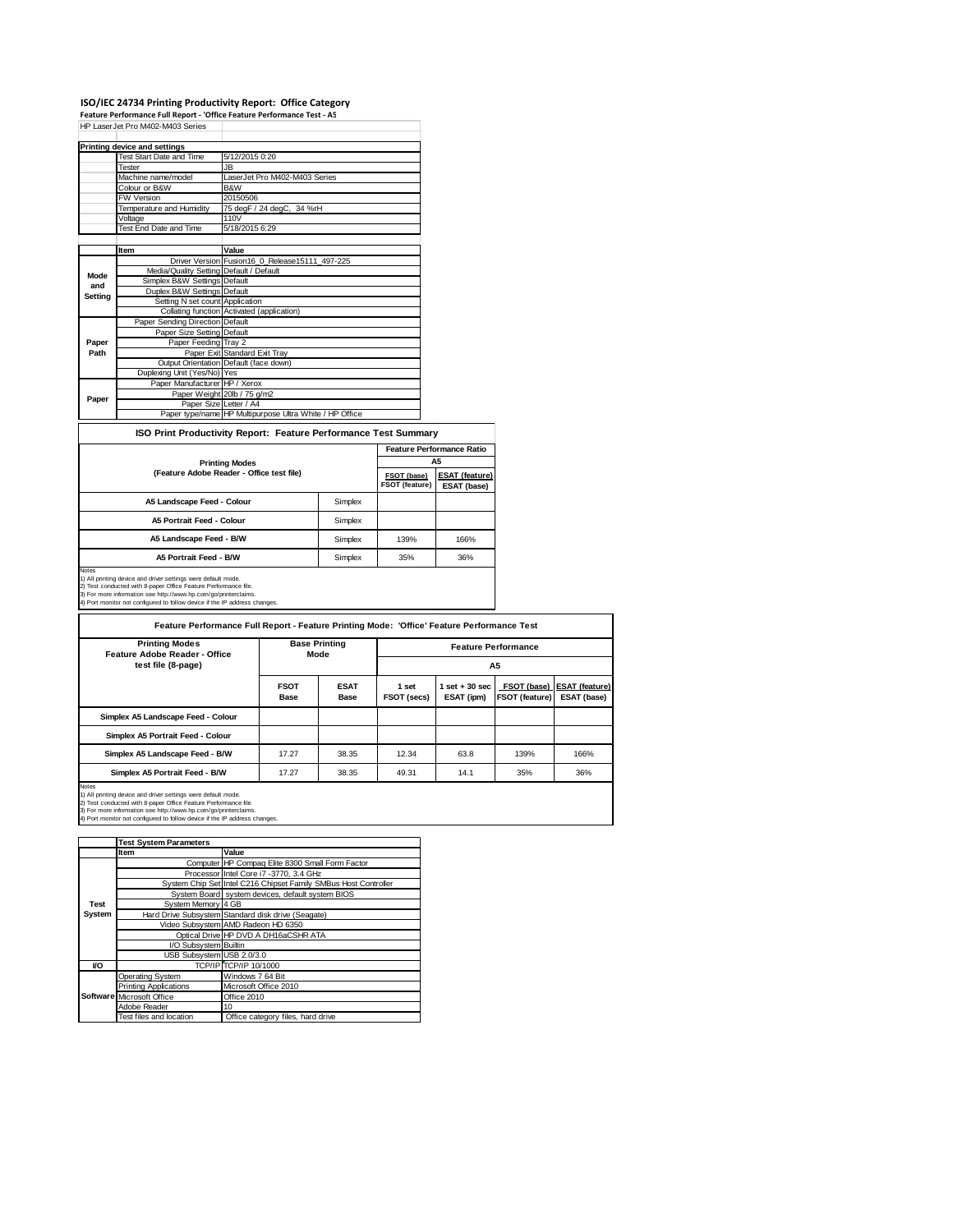## ISO/IEC 24734 Printing Productivity Report: Office Category<br>Feature Performance Full Report - 'Office Feature Performance Test - A5<br>HP LaserJet Pro M402-M403 Series

|                        | Test Start Date and Time                | 5/12/2015 0:20                                                  |                       |
|------------------------|-----------------------------------------|-----------------------------------------------------------------|-----------------------|
|                        | Tester                                  | JB.                                                             |                       |
|                        | Machine name/model                      | LaserJet Pro M402-M403 Series                                   |                       |
|                        | Colour or B&W                           | B&W                                                             |                       |
|                        | <b>FW Version</b>                       | 20150506                                                        |                       |
|                        | Temperature and Humidity                | 75 degF / 24 degC, 34 %rH                                       |                       |
|                        | Voltage                                 | 110V                                                            |                       |
|                        | <b>Test End Date and Time</b>           | 5/18/2015 6:29                                                  |                       |
|                        |                                         |                                                                 |                       |
|                        | Item                                    | Value                                                           |                       |
| Mode<br>and<br>Setting |                                         | Driver Version Fusion16 0 Release15111 497-225                  |                       |
|                        | Media/Quality Setting Default / Default |                                                                 |                       |
|                        | Simplex B&W Settings Default            |                                                                 |                       |
|                        | Duplex B&W Settings Default             |                                                                 |                       |
|                        | Setting N set count Application         |                                                                 |                       |
|                        |                                         | Collating function Activated (application)                      |                       |
|                        | Paper Sending Direction Default         |                                                                 |                       |
|                        | Paper Size Setting Default              |                                                                 |                       |
| Paper                  | Paper Feeding Tray 2                    |                                                                 |                       |
| Path                   |                                         | Paper Exit Standard Exit Tray                                   |                       |
|                        |                                         | Output Orientation Default (face down)                          |                       |
|                        | Duplexing Unit (Yes/No) Yes             |                                                                 |                       |
|                        | Paper Manufacturer HP / Xerox           |                                                                 |                       |
| Paper                  |                                         | Paper Weight 20lb / 75 g/m2                                     |                       |
|                        | Paper Size Letter / A4                  |                                                                 |                       |
|                        |                                         | Paper type/name HP Multipurpose Ultra White / HP Office         |                       |
|                        |                                         | ISO Print Productivity Report: Feature Performance Test Summary |                       |
|                        |                                         |                                                                 | <b>Feature Perfor</b> |
|                        |                                         | - - - - - -                                                     |                       |

|                                           |                               | <b>Feature Performance Ratio</b>     |      |  |
|-------------------------------------------|-------------------------------|--------------------------------------|------|--|
| <b>Printing Modes</b>                     | A5                            |                                      |      |  |
| (Feature Adobe Reader - Office test file) | FSOT (base)<br>FSOT (feature) | <b>ESAT (feature)</b><br>ESAT (base) |      |  |
| A5 Landscape Feed - Colour                | Simplex                       |                                      |      |  |
| A5 Portrait Feed - Colour                 | Simplex                       |                                      |      |  |
| A5 Landscape Feed - B/W                   | Simplex                       | 139%                                 | 166% |  |
| A5 Portrait Feed - B/W                    | Simplex                       | 35%                                  | 36%  |  |
| <b>Notae</b>                              |                               |                                      |      |  |

Notes<br>1) All printing device and driver settings were default mode.<br>2) Test conducted with 8-paper Office Feature Performance file.<br>3) For more information see http://www.hp.com/go/printerclaims.<br>4) Port monitor not config

| <b>Base Printing</b><br>Mode |                            |                      |                                 |                |                                              |
|------------------------------|----------------------------|----------------------|---------------------------------|----------------|----------------------------------------------|
| <b>FSOT</b><br><b>Base</b>   | <b>ESAT</b><br><b>Base</b> | 1 set<br>FSOT (secs) | $1$ set $+30$ sec<br>ESAT (ipm) | FSOT (feature) | FSOT (base)   ESAT (feature)<br>ESAT (base)  |
|                              |                            |                      |                                 |                |                                              |
|                              |                            |                      |                                 |                |                                              |
| 17.27                        | 38.35                      | 12.34                | 63.8                            | 139%           | 166%                                         |
| 17.27                        | 38.35                      | 49.31                | 14.1                            | 35%            | 36%                                          |
|                              |                            |                      |                                 |                | <b>Feature Performance</b><br>A <sub>5</sub> |

T.

|        | <b>Test System Parameters</b> |                                                                 |
|--------|-------------------------------|-----------------------------------------------------------------|
|        | Item                          | Value                                                           |
|        |                               | Computer HP Compaq Elite 8300 Small Form Factor                 |
|        |                               | Processor Intel Core i7 -3770, 3.4 GHz                          |
|        |                               | System Chip Set Intel C216 Chipset Family SMBus Host Controller |
|        |                               | System Board system devices, default system BIOS                |
| Test   | System Memory 4 GB            |                                                                 |
| System |                               | Hard Drive Subsystem Standard disk drive (Seagate)              |
|        |                               | Video Subsystem AMD Radeon HD 6350                              |
|        |                               | Optical Drive HP DVD A DH16aCSHR ATA                            |
|        | I/O Subsystem Builtin         |                                                                 |
|        | USB Subsystem USB 2.0/3.0     |                                                                 |
| VO     |                               | TCP/IP TCP/IP 10/1000                                           |
|        | <b>Operating System</b>       | Windows 7 64 Bit                                                |
|        | <b>Printing Applications</b>  | Microsoft Office 2010                                           |
|        | Software Microsoft Office     | Office 2010                                                     |
|        | Adobe Reader                  | 10                                                              |
|        | Test files and location       | Office category files, hard drive                               |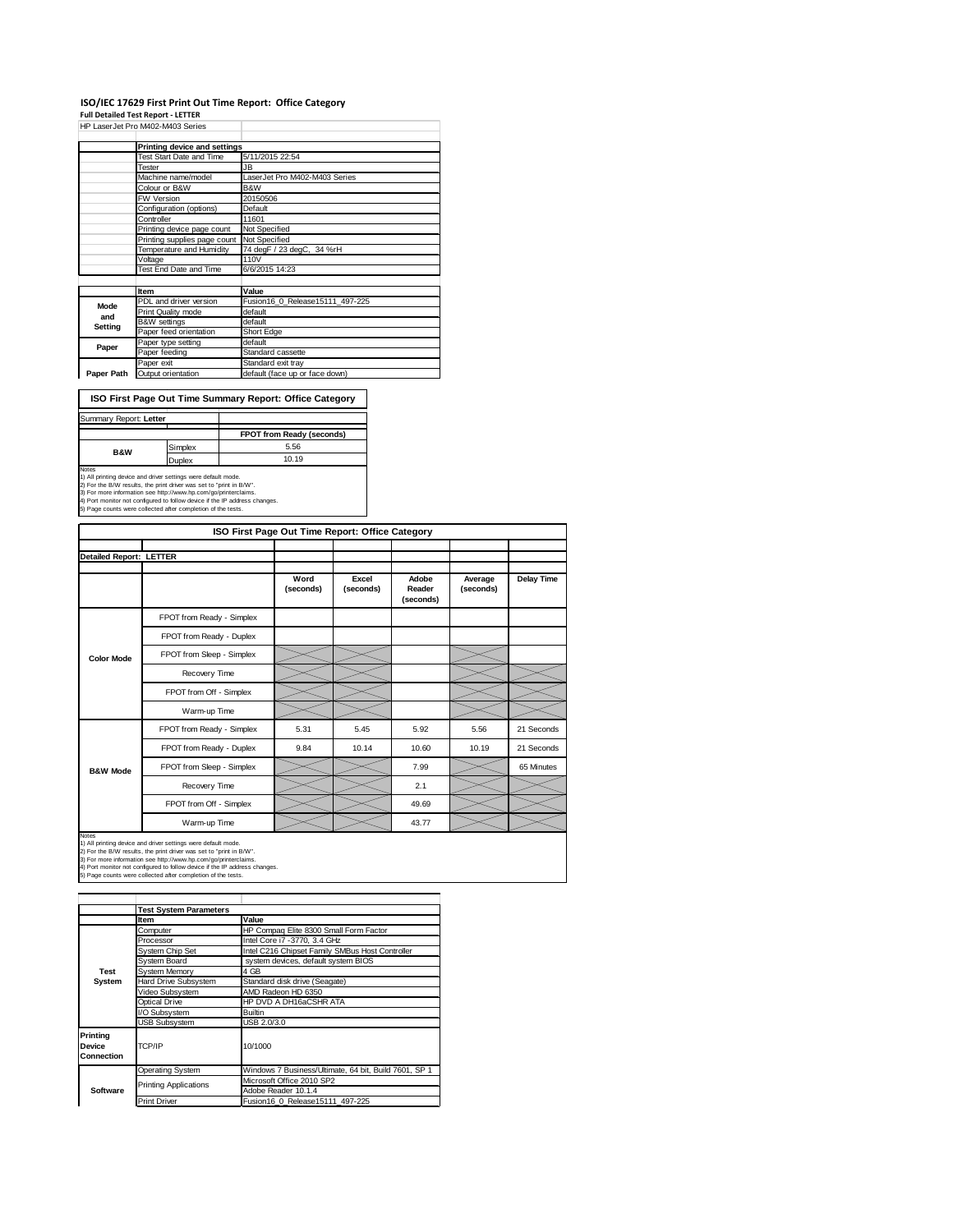#### **ISO/IEC 17629 First Print Out Time Report: Office Category**

**Full Detailed Test Report ‐ LETTER**

|            | HP LaserJet Pro M402-M403 Series |                                 |
|------------|----------------------------------|---------------------------------|
|            | Printing device and settings     |                                 |
|            | Test Start Date and Time         | 5/11/2015 22:54                 |
|            | Tester                           | JB.                             |
|            | Machine name/model               | LaserJet Pro M402-M403 Series   |
|            | Colour or B&W                    | B&W                             |
|            | <b>FW Version</b>                | 20150506                        |
|            | Configuration (options)          | Default                         |
|            | Controller                       | 11601                           |
|            | Printing device page count       | Not Specified                   |
|            | Printing supplies page count     | Not Specified                   |
|            | Temperature and Humidity         | 74 degF / 23 degC, 34 %rH       |
|            | Voltage                          | 110V                            |
|            | Test End Date and Time           | 6/6/2015 14:23                  |
|            |                                  |                                 |
|            | Item                             | Value                           |
| Mode       | PDL and driver version           | Fusion16 0 Release15111 497-225 |
| and        | Print Quality mode               | default                         |
| Setting    | <b>B&amp;W</b> settings          | default                         |
|            | Paper feed orientation           | Short Edge                      |
| Paper      | Paper type setting               | default                         |
|            | Paper feeding                    | Standard cassette               |
|            | Paper exit                       | Standard exit tray              |
| Paper Path | Output orientation               | default (face up or face down)  |

**ISO First Page Out Time Summary Report: Office Category**

| Summary Report: Letter |         |                                  |
|------------------------|---------|----------------------------------|
|                        |         | <b>FPOT from Ready (seconds)</b> |
| <b>B&amp;W</b>         | Simplex | 5.56                             |
|                        | Duplex  | 10.19                            |
| Notes                  |         |                                  |

Notes<br>1) All printing device and driver settings were default mode.<br>2) For the B/W results, the print driver was set to "print in B/W".<br>3) For more information see http://www.hp.com/go/printerclaims.<br>4) Port monitor not co

| <b>ISO First Page Out T</b> |
|-----------------------------|

| ISO First Page Out Time Report: Office Category |                           |                   |                    |                              |                      |                   |
|-------------------------------------------------|---------------------------|-------------------|--------------------|------------------------------|----------------------|-------------------|
|                                                 |                           |                   |                    |                              |                      |                   |
| <b>Detailed Report: LETTER</b>                  |                           |                   |                    |                              |                      |                   |
|                                                 |                           | Word<br>(seconds) | Excel<br>(seconds) | Adobe<br>Reader<br>(seconds) | Average<br>(seconds) | <b>Delay Time</b> |
|                                                 | FPOT from Ready - Simplex |                   |                    |                              |                      |                   |
|                                                 | FPOT from Ready - Duplex  |                   |                    |                              |                      |                   |
| <b>Color Mode</b>                               | FPOT from Sleep - Simplex |                   |                    |                              |                      |                   |
|                                                 | Recovery Time             |                   |                    |                              |                      |                   |
|                                                 | FPOT from Off - Simplex   |                   |                    |                              |                      |                   |
|                                                 | Warm-up Time              |                   |                    |                              |                      |                   |
|                                                 | FPOT from Ready - Simplex | 5.31              | 5.45               | 5.92                         | 5.56                 | 21 Seconds        |
|                                                 | FPOT from Ready - Duplex  | 9.84              | 10.14              | 10.60                        | 10.19                | 21 Seconds        |
| <b>B&amp;W Mode</b>                             | FPOT from Sleep - Simplex |                   |                    | 7.99                         |                      | 65 Minutes        |
|                                                 | Recovery Time             |                   |                    | 2.1                          |                      |                   |
|                                                 | FPOT from Off - Simplex   |                   |                    | 49.69                        |                      |                   |
|                                                 | Warm-up Time              |                   |                    | 43.77                        |                      |                   |

Notes<br>1) All printing device and driver settings were default mode.<br>2) For the B/W results, the print driver was set to "print in B/W".<br>3) For more information see http://www.hp.com/go/printerclaims.<br>4) Port monitor not co

|                                  | <b>Test System Parameters</b> |                                                       |  |  |  |
|----------------------------------|-------------------------------|-------------------------------------------------------|--|--|--|
|                                  | Item                          | Value                                                 |  |  |  |
|                                  | Computer                      | HP Compaq Elite 8300 Small Form Factor                |  |  |  |
|                                  | Processor                     | Intel Core i7 -3770, 3.4 GHz                          |  |  |  |
|                                  | System Chip Set               | Intel C216 Chipset Family SMBus Host Controller       |  |  |  |
|                                  | <b>System Board</b>           | system devices, default system BIOS                   |  |  |  |
| Test                             | <b>System Memory</b>          | 4 GB                                                  |  |  |  |
| System                           | Hard Drive Subsystem          | Standard disk drive (Seagate)                         |  |  |  |
|                                  | Video Subsystem               | AMD Radeon HD 6350                                    |  |  |  |
|                                  | Optical Drive                 | HP DVD A DH16aCSHR ATA                                |  |  |  |
|                                  | I/O Subsystem                 | <b>Builtin</b>                                        |  |  |  |
|                                  | <b>USB Subsystem</b>          | USB 2.0/3.0                                           |  |  |  |
| Printina<br>Device<br>Connection | TCP/IP                        | 10/1000                                               |  |  |  |
|                                  | Operating System              | Windows 7 Business/Ultimate, 64 bit, Build 7601, SP 1 |  |  |  |
|                                  |                               | Microsoft Office 2010 SP2                             |  |  |  |
| Software                         | <b>Printing Applications</b>  | Adobe Reader 10.1.4                                   |  |  |  |
|                                  | <b>Print Driver</b>           | Fusion16 0 Release15111 497-225                       |  |  |  |